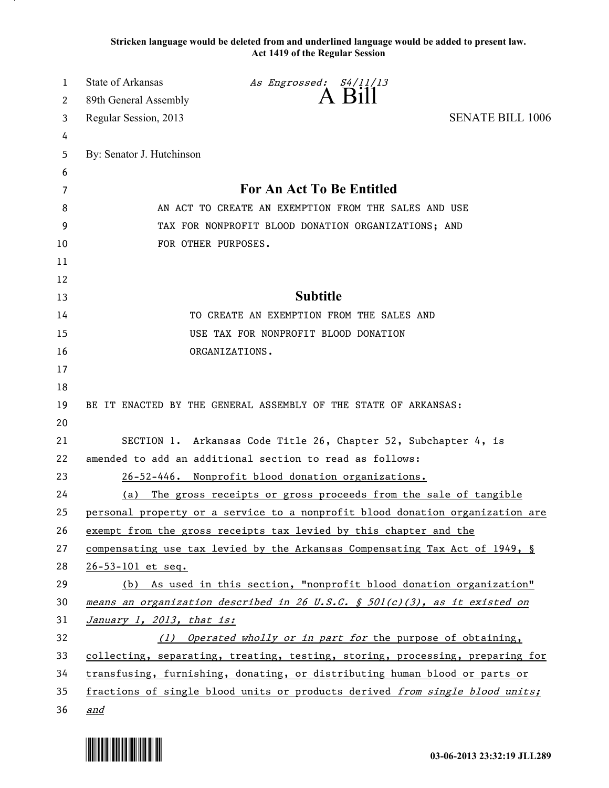**Stricken language would be deleted from and underlined language would be added to present law. Act 1419 of the Regular Session**

| 1  | <b>State of Arkansas</b>                                                      | As Engrossed: S4/11/13                                                        |                         |
|----|-------------------------------------------------------------------------------|-------------------------------------------------------------------------------|-------------------------|
| 2  | 89th General Assembly                                                         | A Bill                                                                        |                         |
| 3  | Regular Session, 2013                                                         |                                                                               | <b>SENATE BILL 1006</b> |
| 4  |                                                                               |                                                                               |                         |
| 5  | By: Senator J. Hutchinson                                                     |                                                                               |                         |
| 6  |                                                                               |                                                                               |                         |
| 7  | <b>For An Act To Be Entitled</b>                                              |                                                                               |                         |
| 8  | AN ACT TO CREATE AN EXEMPTION FROM THE SALES AND USE                          |                                                                               |                         |
| 9  | TAX FOR NONPROFIT BLOOD DONATION ORGANIZATIONS; AND                           |                                                                               |                         |
| 10 | FOR OTHER PURPOSES.                                                           |                                                                               |                         |
| 11 |                                                                               |                                                                               |                         |
| 12 |                                                                               |                                                                               |                         |
| 13 |                                                                               | <b>Subtitle</b>                                                               |                         |
| 14 | TO CREATE AN EXEMPTION FROM THE SALES AND                                     |                                                                               |                         |
| 15 | USE TAX FOR NONPROFIT BLOOD DONATION                                          |                                                                               |                         |
| 16 |                                                                               | ORGANIZATIONS.                                                                |                         |
| 17 |                                                                               |                                                                               |                         |
| 18 |                                                                               |                                                                               |                         |
| 19 |                                                                               | BE IT ENACTED BY THE GENERAL ASSEMBLY OF THE STATE OF ARKANSAS:               |                         |
| 20 |                                                                               |                                                                               |                         |
| 21 |                                                                               | SECTION 1. Arkansas Code Title 26, Chapter 52, Subchapter 4, is               |                         |
| 22 | amended to add an additional section to read as follows:                      |                                                                               |                         |
| 23 |                                                                               | 26-52-446. Nonprofit blood donation organizations.                            |                         |
| 24 |                                                                               | (a) The gross receipts or gross proceeds from the sale of tangible            |                         |
| 25 |                                                                               | personal property or a service to a nonprofit blood donation organization are |                         |
| 26 |                                                                               | exempt from the gross receipts tax levied by this chapter and the             |                         |
| 27 | compensating use tax levied by the Arkansas Compensating Tax Act of 1949, §   |                                                                               |                         |
| 28 | $26 - 53 - 101$ et seq.                                                       |                                                                               |                         |
| 29 | (b) As used in this section, "nonprofit blood donation organization"          |                                                                               |                         |
| 30 | means an organization described in 26 U.S.C. § 501(c)(3), as it existed on    |                                                                               |                         |
| 31 | January 1, 2013, that is:                                                     |                                                                               |                         |
| 32 | (1) Operated wholly or in part for the purpose of obtaining,                  |                                                                               |                         |
| 33 | collecting, separating, treating, testing, storing, processing, preparing for |                                                                               |                         |
| 34 | transfusing, furnishing, donating, or distributing human blood or parts or    |                                                                               |                         |
| 35 |                                                                               | fractions of single blood units or products derived from single blood units;  |                         |
| 36 | and                                                                           |                                                                               |                         |